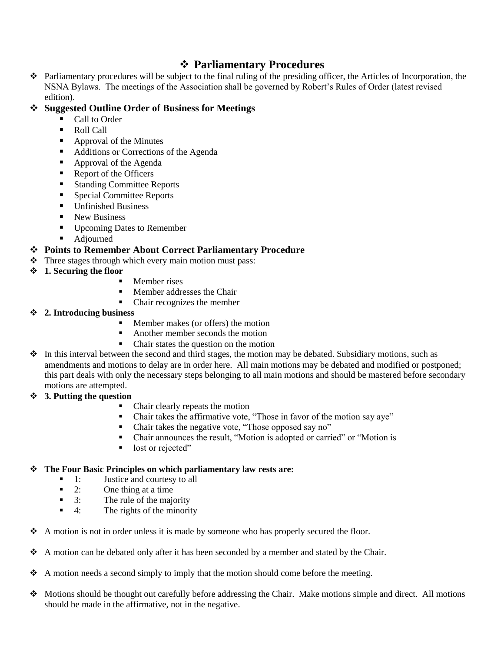## **Parliamentary Procedures**

- Parliamentary procedures will be subject to the final ruling of the presiding officer, the Articles of Incorporation, the NSNA Bylaws. The meetings of the Association shall be governed by Robert's Rules of Order (latest revised edition).
- **Suggested Outline Order of Business for Meetings**
	- Call to Order
	- Roll Call
	- Approval of the Minutes
	- Additions or Corrections of the Agenda
	- Approval of the Agenda
	- Report of the Officers
	- Standing Committee Reports
	- Special Committee Reports
	- Unfinished Business
	- New Business
	- Upcoming Dates to Remember

## ■ Adjourned **Points to Remember About Correct Parliamentary Procedure**

- $\triangle$  Three stages through which every main motion must pass:
- **1. Securing the floor**
	- Member rises
	- Member addresses the Chair
	- Chair recognizes the member
- **2. Introducing business**
	- Member makes (or offers) the motion
	- Another member seconds the motion
	- Chair states the question on the motion
- $\bullet$  In this interval between the second and third stages, the motion may be debated. Subsidiary motions, such as amendments and motions to delay are in order here. All main motions may be debated and modified or postponed; this part deals with only the necessary steps belonging to all main motions and should be mastered before secondary motions are attempted.
- **3. Putting the question**
	- Chair clearly repeats the motion
	- Chair takes the affirmative vote, "Those in favor of the motion say aye"
	- Chair takes the negative vote, "Those opposed say no"
	- Chair announces the result, "Motion is adopted or carried" or "Motion is
	- lost or rejected"

## **The Four Basic Principles on which parliamentary law rests are:**

- 1: Justice and courtesy to all
- 2: One thing at a time
- $\blacksquare$  3: The rule of the majority
- $\blacksquare$  4: The rights of the minority
- $\triangle$  A motion is not in order unless it is made by someone who has properly secured the floor.
- $\triangle$  A motion can be debated only after it has been seconded by a member and stated by the Chair.
- $\triangle$  A motion needs a second simply to imply that the motion should come before the meeting.
- $\bullet$  Motions should be thought out carefully before addressing the Chair. Make motions simple and direct. All motions should be made in the affirmative, not in the negative.